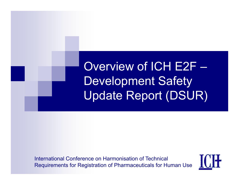#### Overview of ICH E2F –Development Safety Update Report (DSUR)

International Conference on Harmonisation of TechnicalRequirements for Registration of Pharmaceuticals for Human Use

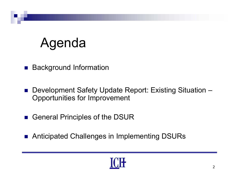#### Agenda

- **Background Information**
- Development Safety Update Report: Existing Situation Opportunities for Improvement
- General Principles of the DSUR
- Anticipated Challenges in Implementing DSURs

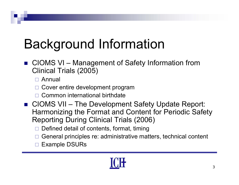# Background Information

■ CIOMS VI – Management of Safety Information from Clinical Trials (2005)

Annual

- □ Cover entire development program
- □ Common international birthdate
- $\blacksquare$  CIOMS VII – The Development Safety Update Report: Harmonizing the Format and Content for Periodic Safety Reporting During Clinical Trials (2006)
	- $\Box$ Defined detail of contents, format, timing
	- $\Box$ General principles re: administrative matters, technical content
	- $\Box$ Example DSURs

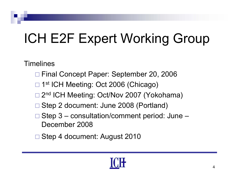# ICH E2F Expert Working Group

**Timelines** 

- Final Concept Paper: September 20, 2006
- □ 1<sup>st</sup> ICH Meeting: Oct 2006 (Chicago)
- □ 2<sup>nd</sup> ICH Meeting: Oct/Nov 2007 (Yokohama)
- □ Step 2 document: June 2008 (Portland)
- □ Step 3 consultation/comment period: June December 2008
- Step 4 document: August 2010

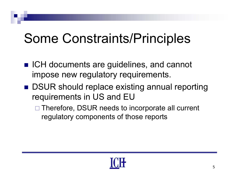#### Some Constraints/Principles

- ICH documents are guidelines, and cannot impose new regulatory requirements.
- DSUR should replace existing annual reporting requirements in US and EU
	- □ Therefore, DSUR needs to incorporate all current regulatory components of those reports

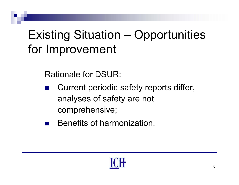#### Existing Situation – Opportunities for Improvement

Rationale for DSUR:

- $\mathcal{L}(\mathcal{A})$  Current periodic safety reports differ, analyses of safety are not comprehensive;
- Benefits of harmonization.

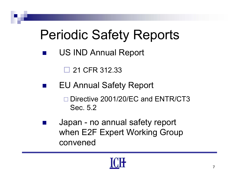#### **Periodic Safety Reports**

 $\frac{1}{2}$ US IND Annual Report

> $\Box$ 21 CFR 312.33

- $\frac{1}{2}$  EU Annual Safety Report
	- □ Directive 2001/20/EC and ENTR/CT3 Sec. 5.2
- $\frac{1}{2}$  Japan - no annual safety report when E2F Expert Working Group convened

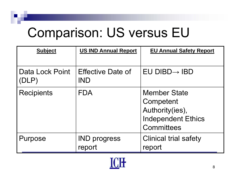#### Comparison: US versus EU

| <b>Subject</b>                      | <b>US IND Annual Report</b>            | <b>EU Annual Safety Report</b>                                                                        |
|-------------------------------------|----------------------------------------|-------------------------------------------------------------------------------------------------------|
| <b>Data Lock Point</b><br>$ $ (DLP) | <b>Effective Date of</b><br><b>IND</b> | $EU$ DIBD $\rightarrow$ IBD                                                                           |
| <b>Recipients</b>                   | <b>FDA</b>                             | <b>Member State</b><br>Competent<br>Authority(ies),<br><b>Independent Ethics</b><br><b>Committees</b> |
| Purpose                             | <b>IND progress</b><br>report          | <b>Clinical trial safety</b><br>report                                                                |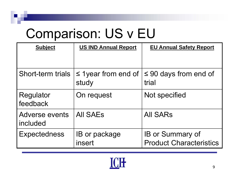#### Comparison: US v EU

| <b>Subject</b>                    | <b>US IND Annual Report</b>       | <b>EU Annual Safety Report</b>                            |
|-----------------------------------|-----------------------------------|-----------------------------------------------------------|
|                                   |                                   |                                                           |
| <b>Short-term trials</b>          | $\leq$ 1year from end of<br>study | $\leq 90$ days from end of<br>trial                       |
| Regulator<br>feedback             | On request                        | Not specified                                             |
| <b>Adverse events</b><br>included | <b>AII SAEs</b>                   | <b>All SARs</b>                                           |
| <b>Expectedness</b>               | <b>IB</b> or package<br>insert    | <b>IB or Summary of</b><br><b>Product Characteristics</b> |

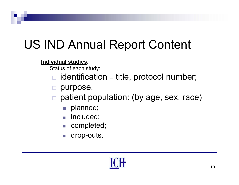#### US IND Annual Report Content

#### **Individual studies**:

Status of each study:

- $\Box$  identification –- title, protocol number;
- purpose,
- $\Box$  patient population: (by age, sex, race)
	- $\mathcal{L}_{\mathcal{A}}$ planned;
	- $\overline{\phantom{a}}$ included;
	- $\overline{\mathcal{A}}$ completed;
	- $\overline{\phantom{a}}$ drop-outs.

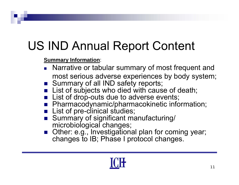#### US IND Annual Report Content

#### **Summary Information**:

- **Narrative or tabular summary of most frequent and** most serious adverse experiences by body system;
- Summary of all IND safety reports;
- List of subjects who died with cause of death;
- **List of drop-outs due to adverse events;**
- **Pharmacodynamic/pharmacokinetic information;**
- **List of pre-clinical studies;**
- Summary of significant manufacturing/ microbiological changes;
- Other: e.g., Investigational plan for coming year; changes to IB; Phase I protocol changes.

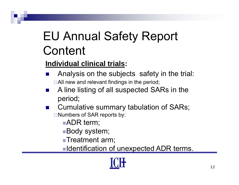#### EU Annual Safety Report **Content**

#### **Individual clinical trials:**

- F. Analysis on the subjects safety in the trial:  $\Box$ All new and relevant findings in the period;
- F. A line listing of all suspected SARs in the period;
- $\mathbb{R}^2$  Cumulative summary tabulation of SARs; □Numbers of SAR reports by:
	- **ADR** term;
	- **Body system;**
	- ■Treatment arm;
	- <u>■Identification of unexpected ADR terms.</u>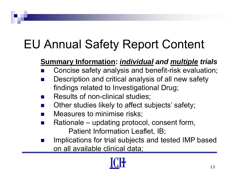#### EU Annual Safety Report Content

#### **Summary Information:** *individual and multiple trials*

- M. Concise safety analysis and benefit-risk evaluation;
- P. Description and critical analysis of all new safety findings related to Investigational Drug;
- M. Results of non-clinical studies;
- a l Other studies likely to affect subjects' safety;
- **The Contract of the Contract of the Contract of the Contract of the Contract of the Contract of the Contract o** Measures to minimise risks;
- M. Rationale – updating protocol, consent form, Patient Information Leaflet, IB;
- M. Implications for trial subjects and tested IMP based <u>on all available clinical data;</u>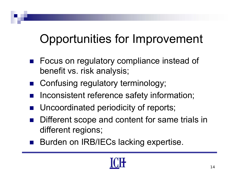#### Opportunities for Improvement

- Focus on regulatory compliance instead of benefit vs. risk analysis;
- **E** Confusing regulatory terminology;
- $\frac{1}{2}$ Inconsistent reference safety information;
- $\frac{1}{2}$ Uncoordinated periodicity of reports;
- $\frac{1}{2}$  Different scope and content for same trials in different regions;
- Burden on IRB/IECs lacking expertise.

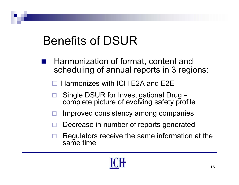#### Benefits of DSUR

- Harmonization of format, content and scheduling of annual reports in 3 regions:
	- $\Box$  $\Box$  Harmonizes with ICH E2A and E2E
	- $\Box$ □ Single DSUR for Investigational Drug – complete picture of evolving safety profile
	- $\Box$ Improved consistency among companies
	- $\Box$ □ Decrease in number of reports generated
	- $\Box$  Regulators receive the same information at the same time

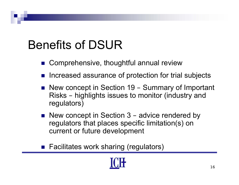#### Benefits of DSUR

- Comprehensive, thoughtful annual review
- F. Increased assurance of protection for trial subjects
- New concept in Section 19 –– Summary of Important Risks – highlights issues to monitor (industry and regulators)
- New concept in Section 3 –– advice rendered by regulators that places specific limitation(s) on current or future development
- Facilitates work sharing (regulators)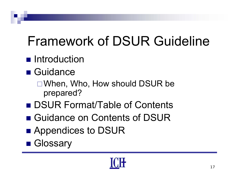# Framework of DSUR Guideline

#### **n** Introduction

- Guidance
	- $\Box$  When, Who, How should DSUR be prepared?
- DSUR Format/Table of Contents
- Guidance on Contents of DSUR
- **E** Appendices to DSUR
- Glossary

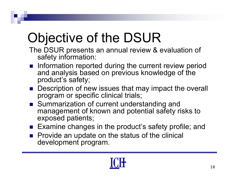## Objective of the DSUR

The DSUR presents an annual review & evaluation of safety information:

- **Information reported during the current review period** and analysis based on previous knowledge of the product's safety;
- Description of new issues that may impact the overall program or specific clinical trials;
- Summarization of current understanding and management of known and potential safety risks to exposed patients;
- Examine changes in the product's safety profile; and
- **Provide an update on the status of the clinical** development program.

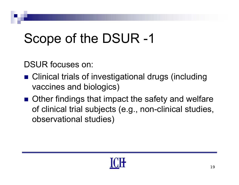## Scope of the DSUR -1

DSUR focuses on:

- Clinical trials of investigational drugs (including vaccines and biologics)
- Other findings that impact the safety and welfare of clinical trial subjects (e.g., non-clinical studies, observational studies)

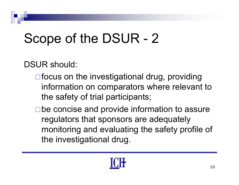# Scope of the DSUR - 2

DSUR should:

- $\Box$  focus on the investigational drug, providing information on comparators where relevant to the safety of trial participants;
- □ be concise and provide information to assure regulators that sponsors are adequately monitoring and evaluating the safety profile of the investigational drug.

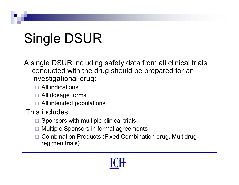# Single DSUR

A single DSUR including safety data from all clinical trials conducted with the drug should be prepared for an investigational drug:

- All indications
- □ All dosage forms
- $\Box$  All intended populations

This includes:

- $\Box$  Sponsors with multiple clinical trials
- $\Box$ Multiple Sponsors in formal agreements
- $\Box$  Combination Products (Fixed Combination drug, Multidrug regimen trials)

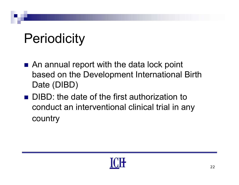#### Periodicity

- An annual report with the data lock point based on the Development International Birth Date (DIBD)
- **DIBD: the date of the first authorization to** conduct an interventional clinical trial in any country

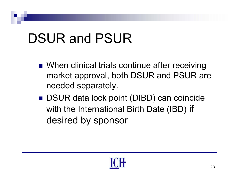#### DSUR and PSUR

- When clinical trials continue after receiving market approval, both DSUR and PSUR are needed separately.
- DSUR data lock point (DIBD) can coincide with the International Birth Date (IBD) if desired by sponsor

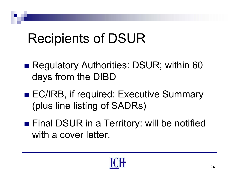#### Recipients of DSUR

- Regulatory Authorities: DSUR; within 60 da ys from the DIBD
- EC/IRB, if required: Executive Summary (plus line listing of SADRs)
- Final DSUR in a Territory: will be notified with a cover letter.

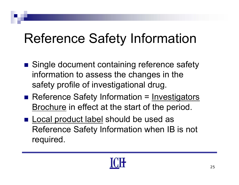#### Reference Safety Information

- Single document containing reference safety information to assess the changes in the safety profile of investigational drug.
- Reference Safety Information = Investigators <u>Brochure</u> in effect at the start of the period.
- **Local product label should be used as** Reference Safety Information when IB is not required.

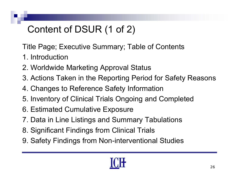#### Content of DSUR (1 of 2)

Title Page; Executive Summary; Table of Contents

- 1 Introduction 1. Introduction
- 2. Worldwide Marketing Approval Status
- 3. Actions Taken in the Reporting Period for Safety Reasons
- 4. Changes to Reference Safety Information
- 5. Inventory of Clinical Trials Ongoing and Completed
- 6. Estimated Cumulative Exposure
- 7. Data in Line Listings and Summary Tabulations
- 8. Significant Findings from Clinical Trials
- 9. Safety Findings from Non-interventional Studies

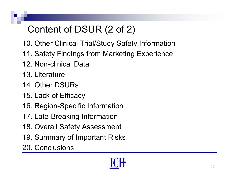#### Content of DSUR (2 of 2)

- 10. Other Clinical Trial/Study Safety Information
- 11. Safety Findings from Marketing Experience
- 12. Non-clinical Data
- 13. Literature
- 14. Other DSURs
- 15. Lack of Efficacy
- 16. Region-Specific Information
- 17. Late-Breaking Information
- 18. Overall Safety Assessment
- 19. Summary of Important Risks
- 20. Conclusions

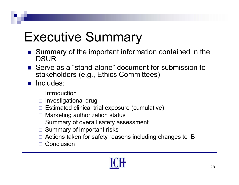#### Executive Summary

- Summary of the important information contained in the **DSUR**
- Serve as a "stand-alone" document for submission to stakeholders (e.g., Ethics Committees)
- **n** Includes:
	- $\Box$  Introduction
	- $\Box$  Investigational drug
	- $\square$  Estimated clinical trial exposure (cumulative)
	- $\Box$ Marketing authorization status
	- $\Box$ Summary of overall safety assessment
	- $\Box$ Summary of important risks
	- □ Actions taken for safety reasons including changes to IB
	- □ Conclusion

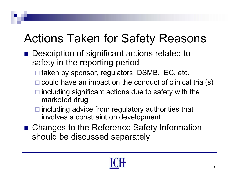#### Actions Taken for Safety Reasons

- Description of significant actions related to safety in the reporting period
	- □ taken by sponsor, regulators, DSMB, IEC, etc.
	- $\square$  could have an impact on the conduct of clinical trial(s)
	- $\Box$  including significant actions due to safety with the marketed drug
	- $\Box$  including advice from regulatory authorities that involves a constraint on development
- Changes to the Reference Safety Information should be discussed separately

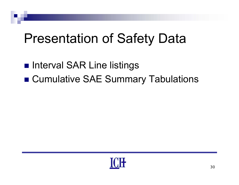#### Presentation of Safety Data

- Interval SAR Line listings
- Cumulative SAE Summary Tabulations

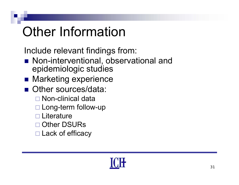# Other Information

Include relevant findings from:

- Non-interventional, observational and epidemiologic studies
- Marketing experience
- Other sources/data:
	- Non-clinical data
	- □ Long-term follow-up
	- □ Literature
	- □ Other DSURs
	- □ Lack of efficacy

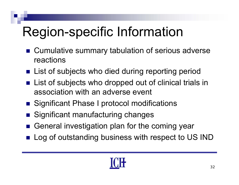# Region-specific Information

- Cumulative summary tabulation of serious adverse reactions
- **E** List of subjects who died during reporting period
- $\blacksquare$  List of subjects who dropped out of clinical trials in association with an adverse event
- Significant Phase I protocol modifications
- Significant manufacturing changes
- General investigation plan for the coming year
- Log of outstanding business with respect to US IND

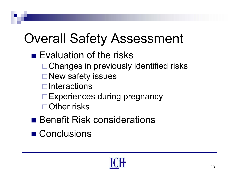#### Overall Safety Assessment

- Evaluation of the risks
	- □ Changes in previously identified risks
	- **□New safety issues**
	- $\Box$ Interactions
	- □ Experiences during pregnancy
	- $\Box$  Other risks
- Benefit Risk considerations
- Conclusions